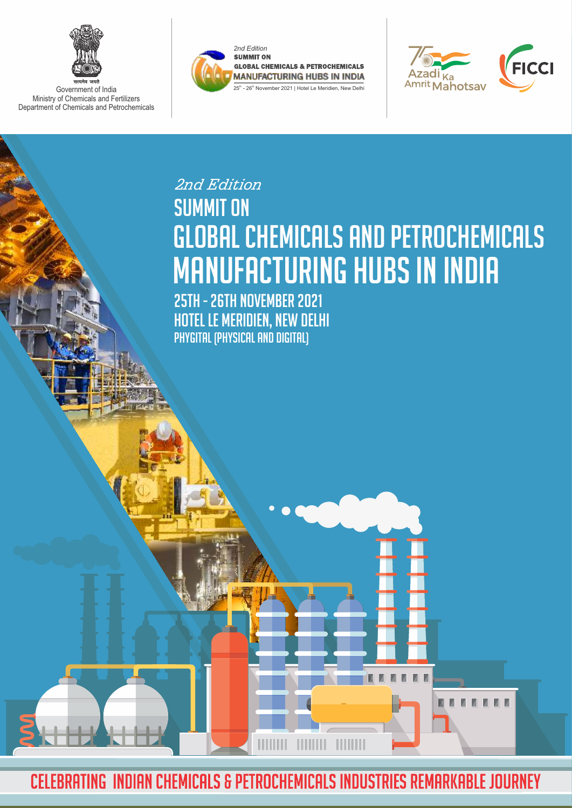

Government of India Ministry of Chemicals and Fertilizers Department of Chemicals and Petrochemicals





M.

## **SUMMIT ON** Global CHEMICALS AND PETROCHEMICALS MANUFACTURING HUBS IN INDIA *2nd Edition*

25TH - 26TH NOVember 2021 HOTEL LE MERIDIEN, NEW DELHI Phygital (Physical and Digital)

CELEBRATING INDIAN CHEMICALS & PETROCHEMICALS INDUSTRIES REMARKABLE JOURNEY

**HIMIN**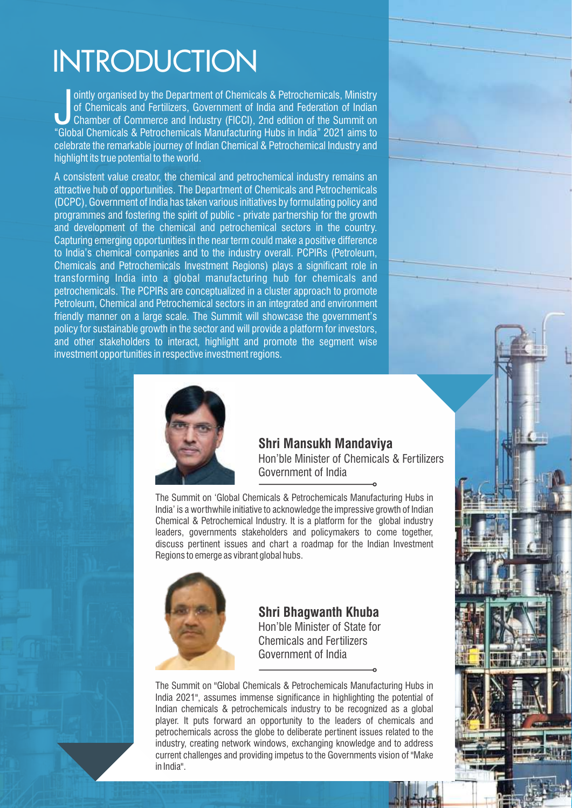# INTRODUCTION

ointly organised by the Department of Chemicals & Petrochemicals, Ministry<br>of Chemicals and Fertilizers, Government of India and Federation of Indian<br>Chamber of Commerce and Industry (FICCI), 2nd edition of the Summit on<br>" of Chemicals and Fertilizers, Government of India and Federation of Indian Chamber of Commerce and Industry (FICCI), 2nd edition of the Summit on "Global Chemicals & Petrochemicals Manufacturing Hubs in India" 2021 aims to celebrate the remarkable journey of Indian Chemical & Petrochemical Industry and highlight its true potential to the world.

A consistent value creator, the chemical and petrochemical industry remains an attractive hub of opportunities. The Department of Chemicals and Petrochemicals (DCPC), Government of India has taken various initiatives by formulating policy and programmes and fostering the spirit of public - private partnership for the growth and development of the chemical and petrochemical sectors in the country. Capturing emerging opportunities in the near term could make a positive difference to India's chemical companies and to the industry overall. PCPIRs (Petroleum, Chemicals and Petrochemicals Investment Regions) plays a significant role in transforming India into a global manufacturing hub for chemicals and petrochemicals. The PCPIRs are conceptualized in a cluster approach to promote Petroleum, Chemical and Petrochemical sectors in an integrated and environment friendly manner on a large scale. The Summit will showcase the government's policy for sustainable growth in the sector and will provide a platform for investors, and other stakeholders to interact, highlight and promote the segment wise investment opportunities in respective investment regions.



### **Shri Mansukh Mandaviya**

Hon'ble Minister of Chemicals & Fertilizers Government of India

The Summit on 'Global Chemicals & Petrochemicals Manufacturing Hubs in India' is a worthwhile initiative to acknowledge the impressive growth of Indian Chemical & Petrochemical Industry. It is a platform for the global industry leaders, governments stakeholders and policymakers to come together, discuss pertinent issues and chart a roadmap for the Indian Investment Regions to emerge as vibrant global hubs.



### **Shri Bhagwanth Khuba** Hon'ble Minister of State for Chemicals and Fertilizers

The Summit on "Global Chemicals & Petrochemicals Manufacturing Hubs in India 2021", assumes immense significance in highlighting the potential of Indian chemicals & petrochemicals industry to be recognized as a global player. It puts forward an opportunity to the leaders of chemicals and petrochemicals across the globe to deliberate pertinent issues related to the industry, creating network windows, exchanging knowledge and to address current challenges and providing impetus to the Governments vision of "Make in India".

Government of India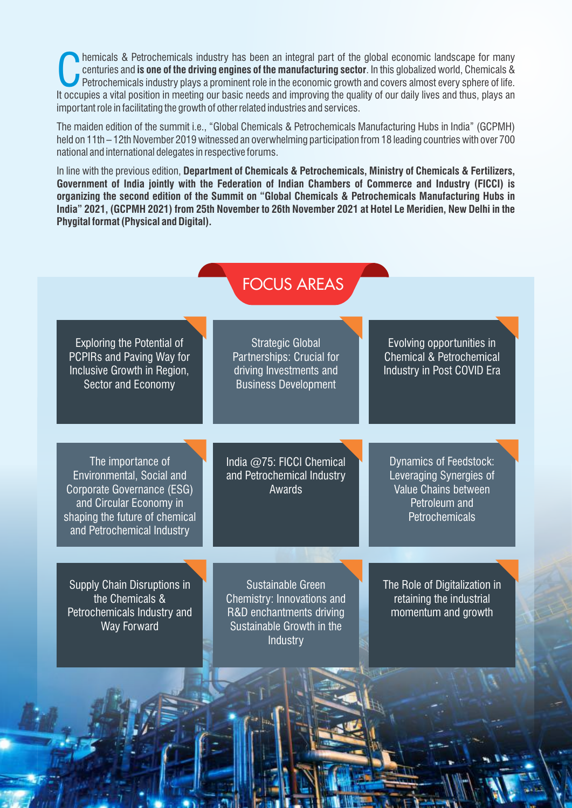**COM** hemicals & Petrochemicals industry has been an integral part of the global economic landscape for many centuries and **is one of the driving engines of the manufacturing sector**. In this globalized world, Chemicals & hemicals & Petrochemicals industry has been an integral part of the global economic landscape for many centuries and **is one of the driving engines of the manufacturing sector**. In this globalized world, Chemicals & Petrochemicals industry plays a prominent role in the economic growth and covers almost every sphere of life. important role in facilitating the growth of other related industries and services.

The maiden edition of the summit i.e., "Global Chemicals & Petrochemicals Manufacturing Hubs in India" (GCPMH) held on 11th – 12th November 2019 witnessed an overwhelming participation from 18 leading countries with over 700 national and international delegates in respective forums.

In line with the previous edition, **Department of Chemicals & Petrochemicals, Ministry of Chemicals & Fertilizers, Government of India jointly with the Federation of Indian Chambers of Commerce and Industry (FICCI) is organizing the second edition of the Summit on "Global Chemicals & Petrochemicals Manufacturing Hubs in India" 2021, (GCPMH 2021) from 25th November to 26th November 2021 at Hotel Le Meridien, New Delhi in the Phygital format (Physical and Digital).**